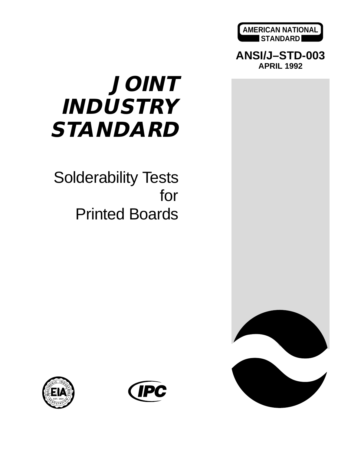

**ANSI/J–STD-003 APRIL 1992**

# **JOINT INDUSTRY STANDARD**

## Solderability Tests for Printed Boards





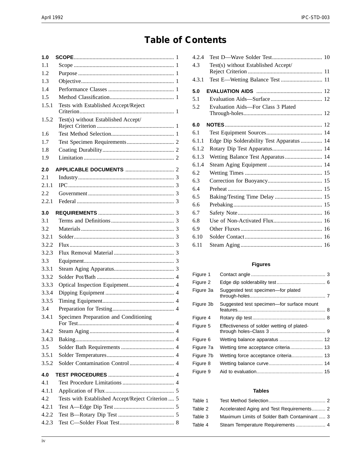## **Table of Contents**

| 1.0   |                                                   |  |
|-------|---------------------------------------------------|--|
| 1.1   |                                                   |  |
| 1.2   |                                                   |  |
| 1.3   |                                                   |  |
| 1.4   |                                                   |  |
| 1.5   |                                                   |  |
| 1.5.1 | Tests with Established Accept/Reject              |  |
| 1.5.2 | Test(s) without Established Accept/               |  |
| 1.6   |                                                   |  |
| 1.7   |                                                   |  |
| 1.8   |                                                   |  |
| 1.9   |                                                   |  |
| 2.0   |                                                   |  |
| 2.1   |                                                   |  |
| 2.1.1 |                                                   |  |
| 2.2   |                                                   |  |
| 2.2.1 |                                                   |  |
| 3.0   |                                                   |  |
| 3.1   |                                                   |  |
| 3.2   |                                                   |  |
| 3.2.1 |                                                   |  |
| 3.2.2 |                                                   |  |
| 3.2.3 |                                                   |  |
| 3.3   |                                                   |  |
| 3.3.1 |                                                   |  |
| 3.3.2 |                                                   |  |
| 3.3.3 |                                                   |  |
| 3.3.4 |                                                   |  |
| 3.3.5 |                                                   |  |
| 3.4   |                                                   |  |
| 3.4.1 | Specimen Preparation and Conditioning             |  |
| 3.4.2 |                                                   |  |
| 3.4.3 |                                                   |  |
| 3.5   |                                                   |  |
| 3.5.1 |                                                   |  |
| 3.5.2 |                                                   |  |
| 4.0   |                                                   |  |
| 4.1   |                                                   |  |
| 4.1.1 |                                                   |  |
| 4.2   | Tests with Established Accept/Reject Criterion  5 |  |
| 4.2.1 |                                                   |  |
| 4.2.2 |                                                   |  |
| 4.2.3 |                                                   |  |

| 4.2.4 |                                           |
|-------|-------------------------------------------|
| 4.3   | Test(s) without Established Accept/       |
|       |                                           |
| 4.3.1 | Test E-Wetting Balance Test  11           |
| 5.0   |                                           |
| 5.1   |                                           |
| 5.2   | Evaluation Aids-For Class 3 Plated        |
| 6.0   |                                           |
| 6.1   |                                           |
| 6.1.1 | Edge Dip Solderability Test Apparatus  14 |
| 6.1.2 |                                           |
| 6.1.3 | Wetting Balance Test Apparatus 14         |
| 6.1.4 |                                           |
| 6.2   |                                           |
| 6.3   |                                           |
| 6.4   |                                           |
| 6.5   | Baking/Testing Time Delay  15             |
| 6.6   |                                           |
| 6.7   |                                           |
| 6.8   |                                           |
| 6.9   |                                           |
| 6.10  |                                           |
| 6.11  |                                           |

#### **Figures**

| Figure 1  |                                            |  |
|-----------|--------------------------------------------|--|
| Figure 2  |                                            |  |
| Figure 3a | Suggested test specimen-for plated         |  |
| Figure 3b | Suggested test specimen-for surface mount  |  |
| Figure 4  |                                            |  |
| Figure 5  | Effectiveness of solder wetting of plated- |  |
| Figure 6  |                                            |  |
| Figure 7a | Wetting time acceptance criteria 13        |  |
| Figure 7b |                                            |  |
| Figure 8  |                                            |  |
| Figure 9  |                                            |  |

#### **Tables**

| Table 1 |                                              |  |
|---------|----------------------------------------------|--|
| Table 2 | Accelerated Aging and Test Requirements 2    |  |
| Table 3 | Maximum Limits of Solder Bath Contaminant  3 |  |
| Table 4 |                                              |  |